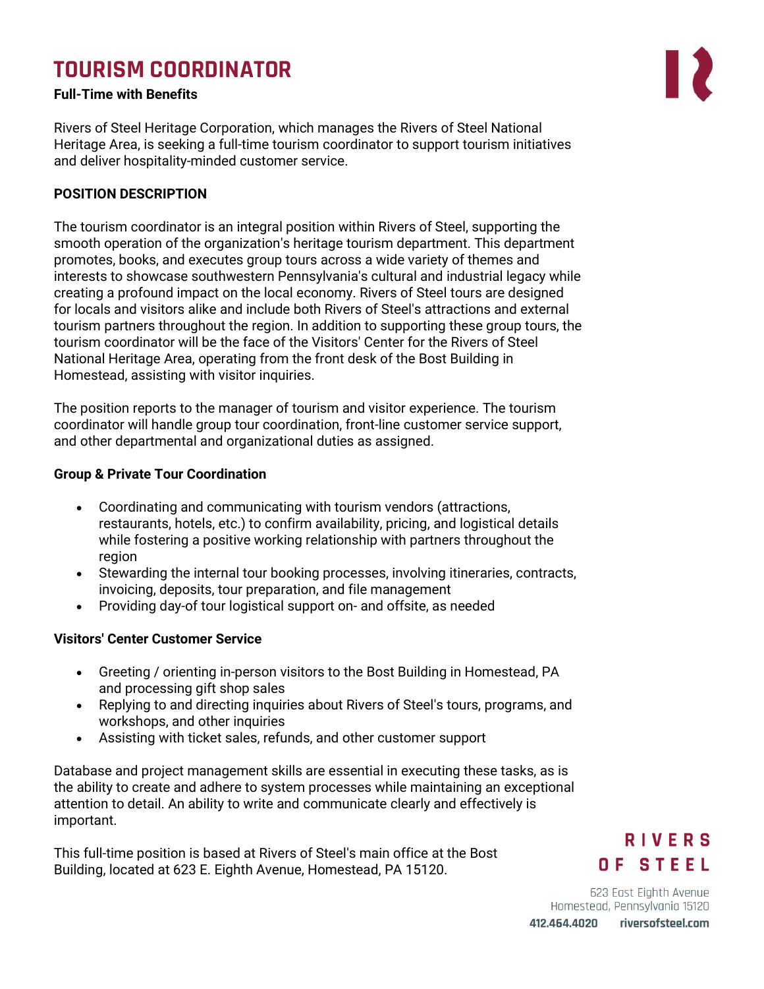# **TOURISM COORDINATOR**

# **Full-Time with Benefits**

Rivers of Steel Heritage Corporation, which manages the Rivers of Steel National Heritage Area, is seeking a full-time tourism coordinator to support tourism initiatives and deliver hospitality-minded customer service.

### **POSITION DESCRIPTION**

The tourism coordinator is an integral position within Rivers of Steel, supporting the smooth operation of the organization's heritage tourism department. This department promotes, books, and executes group tours across a wide variety of themes and interests to showcase southwestern Pennsylvania's cultural and industrial legacy while creating a profound impact on the local economy. Rivers of Steel tours are designed for locals and visitors alike and include both Rivers of Steel's attractions and external tourism partners throughout the region. In addition to supporting these group tours, the tourism coordinator will be the face of the Visitors' Center for the Rivers of Steel National Heritage Area, operating from the front desk of the Bost Building in Homestead, assisting with visitor inquiries.

The position reports to the manager of tourism and visitor experience. The tourism coordinator will handle group tour coordination, front-line customer service support, and other departmental and organizational duties as assigned.

### **Group & Private Tour Coordination**

- Coordinating and communicating with tourism vendors (attractions, restaurants, hotels, etc.) to confirm availability, pricing, and logistical details while fostering a positive working relationship with partners throughout the region
- Stewarding the internal tour booking processes, involving itineraries, contracts, invoicing, deposits, tour preparation, and file management
- Providing day-of tour logistical support on- and offsite, as needed

# **Visitors' Center Customer Service**

- Greeting / orienting in-person visitors to the Bost Building in Homestead, PA and processing gift shop sales
- Replying to and directing inquiries about Rivers of Steel's tours, programs, and workshops, and other inquiries
- Assisting with ticket sales, refunds, and other customer support

Database and project management skills are essential in executing these tasks, as is the ability to create and adhere to system processes while maintaining an exceptional attention to detail. An ability to write and communicate clearly and effectively is important.

This full-time position is based at Rivers of Steel's main office at the Bost Building, located at 623 E. Eighth Avenue, Homestead, PA 15120.

# **RIVERS** OF STEEL

623 East Eighth Avenue Homestead, Pennsylvania 15120 riversofsteel.com 412.464.4020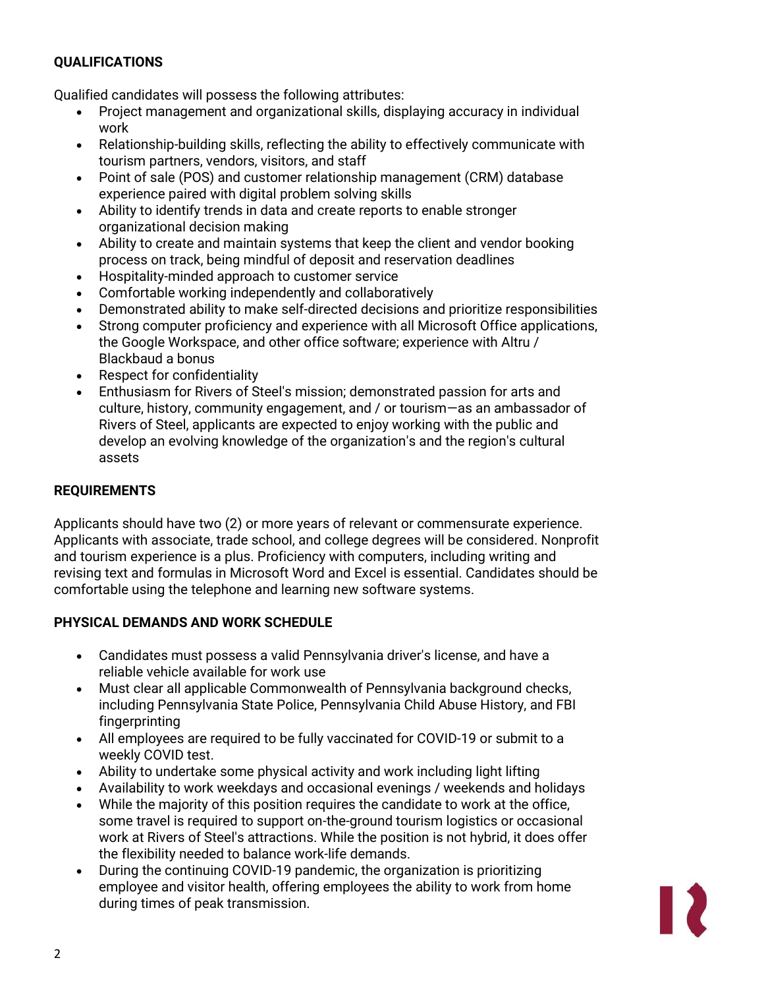# **QUALIFICATIONS**

Qualified candidates will possess the following attributes:

- Project management and organizational skills, displaying accuracy in individual work
- Relationship-building skills, reflecting the ability to effectively communicate with tourism partners, vendors, visitors, and staff
- Point of sale (POS) and customer relationship management (CRM) database experience paired with digital problem solving skills
- Ability to identify trends in data and create reports to enable stronger organizational decision making
- Ability to create and maintain systems that keep the client and vendor booking process on track, being mindful of deposit and reservation deadlines
- Hospitality-minded approach to customer service
- Comfortable working independently and collaboratively
- Demonstrated ability to make self-directed decisions and prioritize responsibilities
- Strong computer proficiency and experience with all Microsoft Office applications, the Google Workspace, and other office software; experience with Altru / Blackbaud a bonus
- Respect for confidentiality
- Enthusiasm for Rivers of Steel's mission; demonstrated passion for arts and culture, history, community engagement, and / or tourism—as an ambassador of Rivers of Steel, applicants are expected to enjoy working with the public and develop an evolving knowledge of the organization's and the region's cultural assets

# **REQUIREMENTS**

Applicants should have two (2) or more years of relevant or commensurate experience. Applicants with associate, trade school, and college degrees will be considered. Nonprofit and tourism experience is a plus. Proficiency with computers, including writing and revising text and formulas in Microsoft Word and Excel is essential. Candidates should be comfortable using the telephone and learning new software systems.

#### **PHYSICAL DEMANDS AND WORK SCHEDULE**

- Candidates must possess a valid Pennsylvania driver's license, and have a reliable vehicle available for work use
- Must clear all applicable Commonwealth of Pennsylvania background checks, including Pennsylvania State Police, Pennsylvania Child Abuse History, and FBI fingerprinting
- All employees are required to be fully vaccinated for COVID-19 or submit to a weekly COVID test.
- Ability to undertake some physical activity and work including light lifting
- Availability to work weekdays and occasional evenings / weekends and holidays
- While the majority of this position requires the candidate to work at the office, some travel is required to support on-the-ground tourism logistics or occasional work at Rivers of Steel's attractions. While the position is not hybrid, it does offer the flexibility needed to balance work-life demands.
- During the continuing COVID-19 pandemic, the organization is prioritizing employee and visitor health, offering employees the ability to work from home during times of peak transmission.